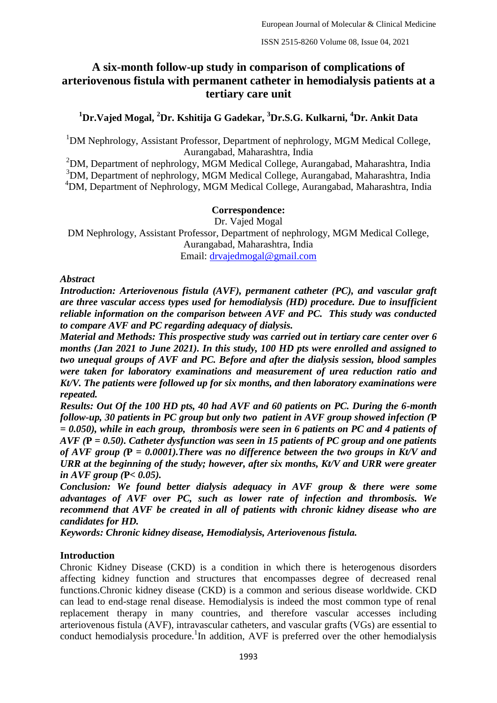# **A six-month follow-up study in comparison of complications of arteriovenous fistula with permanent catheter in hemodialysis patients at a tertiary care unit**

## **<sup>1</sup>Dr.Vajed Mogal, <sup>2</sup>Dr. Kshitija G Gadekar, <sup>3</sup>Dr.S.G. Kulkarni, <sup>4</sup>Dr. Ankit Data**

 $1$ DM Nephrology, Assistant Professor, Department of nephrology, MGM Medical College, Aurangabad, Maharashtra, India

 $2$ DM, Department of nephrology, MGM Medical College, Aurangabad, Maharashtra, India <sup>3</sup>DM, Department of nephrology, MGM Medical College, Aurangabad, Maharashtra, India <sup>4</sup>DM, Department of Nephrology, MGM Medical College, Aurangabad, Maharashtra, India

### **Correspondence:**

Dr. Vajed Mogal DM Nephrology, Assistant Professor, Department of nephrology, MGM Medical College, Aurangabad, Maharashtra, India Email: [drvajedmogal@gmail.com](mailto:drvajedmogal@gmail.com)

### *Abstract*

*Introduction: Arteriovenous fistula (AVF), permanent catheter (PC), and vascular graft are three vascular access types used for hemodialysis (HD) procedure. Due to insufficient reliable information on the comparison between AVF and PC. This study was conducted to compare AVF and PC regarding adequacy of dialysis.* 

*Material and Methods: This prospective study was carried out in tertiary care center over 6 months (Jan 2021 to June 2021). In this study, 100 HD pts were enrolled and assigned to two unequal groups of AVF and PC. Before and after the dialysis session, blood samples were taken for laboratory examinations and measurement of urea reduction ratio and Kt/V. The patients were followed up for six months, and then laboratory examinations were repeated.*

*Results: Out Of the 100 HD pts, 40 had AVF and 60 patients on PC. During the 6-month follow-up, 30 patients in PC group but only two patient in AVF group showed infection (***P** *= 0.050), while in each group, thrombosis were seen in 6 patients on PC and 4 patients of AVF (***P** *= 0.50). Catheter dysfunction was seen in 15 patients of PC group and one patients of AVF group (***P** *= 0.0001).There was no difference between the two groups in Kt/V and URR at the beginning of the study; however, after six months, Kt/V and URR were greater in AVF group (***P***< 0.05).*

*Conclusion: We found better dialysis adequacy in AVF group & there were some advantages of AVF over PC, such as lower rate of infection and thrombosis. We recommend that AVF be created in all of patients with chronic kidney disease who are candidates for HD.*

*Keywords: Chronic kidney disease, Hemodialysis, Arteriovenous fistula.* 

### **Introduction**

Chronic Kidney Disease (CKD) is a condition in which there is heterogenous disorders affecting kidney function and structures that encompasses degree of decreased renal functions.Chronic kidney disease (CKD) is a common and serious disease worldwide. CKD can lead to end-stage renal disease. Hemodialysis is indeed the most common type of renal replacement therapy in many countries, and therefore vascular accesses including arteriovenous fistula (AVF), intravascular catheters, and vascular grafts (VGs) are essential to conduct hemodialysis procedure.<sup>1</sup>In addition, AVF is preferred over the other hemodialysis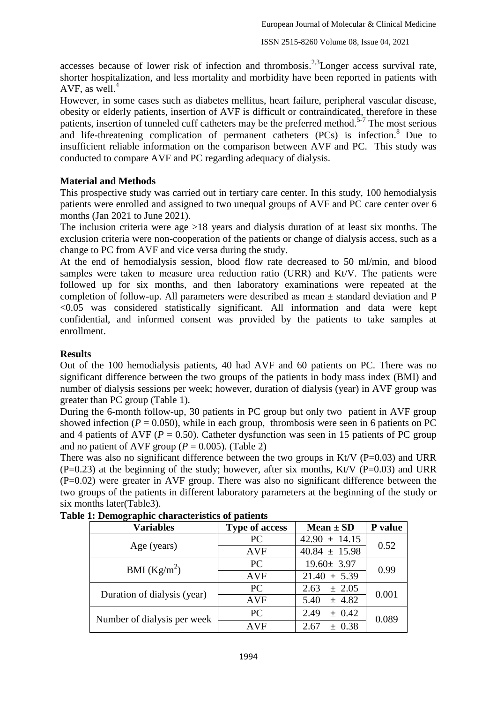accesses because of lower risk of infection and thrombosis.<sup>2,3</sup>Longer access survival rate, shorter hospitalization, and less mortality and morbidity have been reported in patients with AVF, as well. $<sup>4</sup>$ </sup>

However, in some cases such as diabetes mellitus, heart failure, peripheral vascular disease, obesity or elderly patients, insertion of AVF is difficult or contraindicated, therefore in these patients, insertion of tunneled cuff catheters may be the preferred method.<sup>5-7</sup> The most serious and life-threatening complication of permanent catheters (PCs) is infection.<sup>8</sup> Due to insufficient reliable information on the comparison between AVF and PC. This study was conducted to compare AVF and PC regarding adequacy of dialysis.

### **Material and Methods**

This prospective study was carried out in tertiary care center. In this study, 100 hemodialysis patients were enrolled and assigned to two unequal groups of AVF and PC care center over 6 months (Jan 2021 to June 2021).

The inclusion criteria were age >18 years and dialysis duration of at least six months. The exclusion criteria were non-cooperation of the patients or change of dialysis access, such as a change to PC from AVF and vice versa during the study.

At the end of hemodialysis session, blood flow rate decreased to 50 ml/min, and blood samples were taken to measure urea reduction ratio (URR) and Kt/V. The patients were followed up for six months, and then laboratory examinations were repeated at the completion of follow-up. All parameters were described as mean ± standard deviation and P <0.05 was considered statistically significant. All information and data were kept confidential, and informed consent was provided by the patients to take samples at enrollment.

### **Results**

Out of the 100 hemodialysis patients, 40 had AVF and 60 patients on PC. There was no significant difference between the two groups of the patients in body mass index (BMI) and number of dialysis sessions per week; however, duration of dialysis (year) in AVF group was greater than PC group (Table 1).

During the 6-month follow-up, 30 patients in PC group but only two patient in AVF group showed infection ( $P = 0.050$ ), while in each group, thrombosis were seen in 6 patients on PC and 4 patients of AVF ( $P = 0.50$ ). Catheter dysfunction was seen in 15 patients of PC group and no patient of AVF group ( $P = 0.005$ ). (Table 2)

There was also no significant difference between the two groups in Kt/V ( $P=0.03$ ) and URR  $(P=0.23)$  at the beginning of the study; however, after six months, Kt/V (P=0.03) and URR (P=0.02) were greater in AVF group. There was also no significant difference between the two groups of the patients in different laboratory parameters at the beginning of the study or six months later(Table3).

| <b>Variables</b>            | <b>Type of access</b> | Mean $\pm$ SD      | P value |  |  |
|-----------------------------|-----------------------|--------------------|---------|--|--|
|                             | PC                    | $42.90 \pm 14.15$  | 0.52    |  |  |
| Age (years)                 | <b>AVF</b>            | $40.84 \pm 15.98$  |         |  |  |
| BMI $(Kg/m^2)$              | <b>PC</b>             | $19.60 \pm 3.97$   | 0.99    |  |  |
|                             | <b>AVF</b>            | $21.40 \pm 5.39$   |         |  |  |
| Duration of dialysis (year) | <b>PC</b>             | $\pm 2.05$<br>2.63 | 0.001   |  |  |
|                             | <b>AVF</b>            | $\pm$ 4.82<br>5.40 |         |  |  |
| Number of dialysis per week | <b>PC</b>             | $\pm$ 0.42<br>2.49 | 0.089   |  |  |
|                             | <b>AVF</b>            | ± 0.38<br>2.67     |         |  |  |

**Table 1: Demographic characteristics of patients**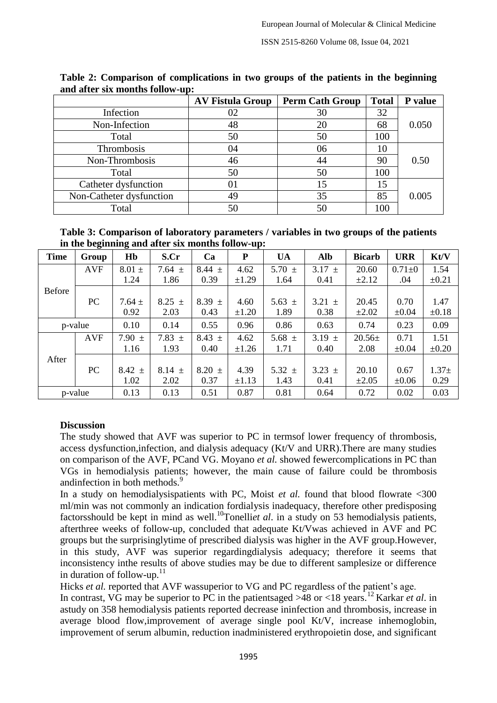|                          | <b>AV Fistula Group</b> | <b>Perm Cath Group</b> | <b>Total</b> | P value |
|--------------------------|-------------------------|------------------------|--------------|---------|
| Infection                | 02                      | 30                     | 32           |         |
| Non-Infection            | 48                      | 20                     | 68           | 0.050   |
| Total                    | 50                      | 50                     | 100          |         |
| Thrombosis               | 04                      | 06                     | 10           |         |
| Non-Thrombosis           | 46                      | 44                     | 90           | 0.50    |
| Total                    | 50                      | 50                     | 100          |         |
| Catheter dysfunction     | 01                      | 15                     | 15           |         |
| Non-Catheter dysfunction | 49                      | 35                     | 85           | 0.005   |
| Total                    | 50                      |                        | 100          |         |

**Table 2: Comparison of complications in two groups of the patients in the beginning and after six months follow-up:** 

**Table 3: Comparison of laboratory parameters / variables in two groups of the patients in the beginning and after six months follow-up:** 

| <b>Time</b>   | Group      | Hb         | S.Cr       | Ca         | P          | <b>UA</b>  | Alb        | <b>Bicarb</b> | <b>URR</b> | Kt/V       |
|---------------|------------|------------|------------|------------|------------|------------|------------|---------------|------------|------------|
|               | <b>AVF</b> | $8.01 \pm$ | 7.64 $\pm$ | 8.44 $\pm$ | 4.62       | 5.70 $\pm$ | $3.17 \pm$ | 20.60         | $0.71 + 0$ | 1.54       |
|               |            | 1.24       | 1.86       | 0.39       | $\pm 1.29$ | 1.64       | 0.41       | $\pm 2.12$    | .04        | $\pm 0.21$ |
| <b>Before</b> |            |            |            |            |            |            |            |               |            |            |
|               | PC         | $7.64 \pm$ | $8.25 \pm$ | $8.39 \pm$ | 4.60       | 5.63 $\pm$ | 3.21 $\pm$ | 20.45         | 0.70       | 1.47       |
|               |            | 0.92       | 2.03       | 0.43       | $\pm 1.20$ | 1.89       | 0.38       | $\pm 2.02$    | $\pm 0.04$ | $\pm 0.18$ |
|               | p-value    | 0.10       | 0.14       | 0.55       | 0.96       | 0.86       | 0.63       | 0.74          | 0.23       | 0.09       |
|               | <b>AVF</b> | 7.90 $\pm$ | 7.83 $\pm$ | $8.43 \pm$ | 4.62       | 5.68 $\pm$ | $3.19 \pm$ | $20.56 \pm$   | 0.71       | 1.51       |
|               |            | 1.16       | 1.93       | 0.40       | $\pm 1.26$ | 1.71       | 0.40       | 2.08          | $\pm 0.04$ | $\pm 0.20$ |
| After         |            |            |            |            |            |            |            |               |            |            |
|               | PC         | $8.42 \pm$ | $8.14 \pm$ | $8.20 \pm$ | 4.39       | 5.32 $\pm$ | $3.23 \pm$ | 20.10         | 0.67       | $1.37+$    |
|               |            | 1.02       | 2.02       | 0.37       | $\pm 1.13$ | 1.43       | 0.41       | $\pm 2.05$    | $\pm 0.06$ | 0.29       |
|               | p-value    | 0.13       | 0.13       | 0.51       | 0.87       | 0.81       | 0.64       | 0.72          | 0.02       | 0.03       |

### **Discussion**

The study showed that AVF was superior to PC in termsof lower frequency of thrombosis, access dysfunction,infection, and dialysis adequacy (Kt/V and URR).There are many studies on comparison of the AVF, PCand VG. Moyano *et al.* showed fewercomplications in PC than VGs in hemodialysis patients; however, the main cause of failure could be thrombosis andinfection in both methods.<sup>9</sup>

In a study on hemodialysispatients with PC, Moist *et al.* found that blood flowrate <300 ml/min was not commonly an indication fordialysis inadequacy, therefore other predisposing factorsshould be kept in mind as well.<sup>10</sup>Tonelli*et al*. in a study on 53 hemodialysis patients, afterthree weeks of follow-up, concluded that adequate Kt/Vwas achieved in AVF and PC groups but the surprisinglytime of prescribed dialysis was higher in the AVF group.However, in this study, AVF was superior regardingdialysis adequacy; therefore it seems that inconsistency inthe results of above studies may be due to different samplesize or difference in duration of follow-up.<sup>11</sup>

Hicks *et al.* reported that AVF wassuperior to VG and PC regardless of the patient's age.

In contrast, VG may be superior to PC in the patientsaged  $>$ 48 or <18 years.<sup>12</sup> Karkar *et al.* in astudy on 358 hemodialysis patients reported decrease ininfection and thrombosis, increase in average blood flow,improvement of average single pool Kt/V, increase inhemoglobin, improvement of serum albumin, reduction inadministered erythropoietin dose, and significant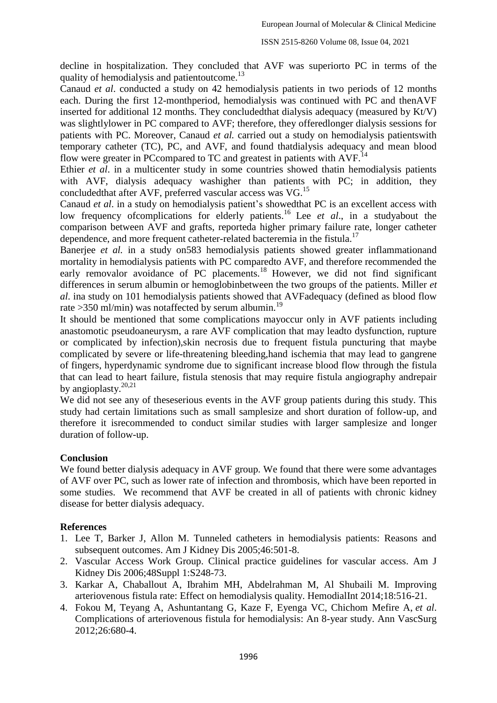decline in hospitalization. They concluded that AVF was superiorto PC in terms of the quality of hemodialysis and patientoutcome.<sup>13</sup>

Canaud *et al*. conducted a study on 42 hemodialysis patients in two periods of 12 months each. During the first 12-monthperiod, hemodialysis was continued with PC and thenAVF inserted for additional 12 months. They concludedthat dialysis adequacy (measured by Kt/V) was slightlylower in PC compared to AVF; therefore, they offeredlonger dialysis sessions for patients with PC. Moreover, Canaud *et al.* carried out a study on hemodialysis patientswith temporary catheter (TC), PC, and AVF, and found thatdialysis adequacy and mean blood flow were greater in PCcompared to TC and greatest in patients with  $AVF<sup>14</sup>$ 

Ethier *et al*. in a multicenter study in some countries showed thatin hemodialysis patients with AVF, dialysis adequacy washigher than patients with PC; in addition, they concludedthat after AVF, preferred vascular access was VG.<sup>15</sup>

Canaud *et al*. in a study on hemodialysis patient's showedthat PC is an excellent access with low frequency of complications for elderly patients.<sup>16</sup> Lee *et al.*, in a studyabout the comparison between AVF and grafts, reporteda higher primary failure rate, longer catheter dependence, and more frequent catheter-related bacteremia in the fistula.<sup>17</sup>

Banerjee *et al.* in a study on 583 hemodialysis patients showed greater inflammation and mortality in hemodialysis patients with PC comparedto AVF, and therefore recommended the early removalor avoidance of PC placements.<sup>18</sup> However, we did not find significant differences in serum albumin or hemoglobinbetween the two groups of the patients. Miller *et al*. ina study on 101 hemodialysis patients showed that AVFadequacy (defined as blood flow rate >350 ml/min) was notaffected by serum albumin.<sup>19</sup>

It should be mentioned that some complications mayoccur only in AVF patients including anastomotic pseudoaneurysm, a rare AVF complication that may leadto dysfunction, rupture or complicated by infection),skin necrosis due to frequent fistula puncturing that maybe complicated by severe or life-threatening bleeding,hand ischemia that may lead to gangrene of fingers, hyperdynamic syndrome due to significant increase blood flow through the fistula that can lead to heart failure, fistula stenosis that may require fistula angiography andrepair by angioplasty.<sup>20,21</sup>

We did not see any of theseserious events in the AVF group patients during this study. This study had certain limitations such as small samplesize and short duration of follow-up, and therefore it isrecommended to conduct similar studies with larger samplesize and longer duration of follow-up.

### **Conclusion**

We found better dialysis adequacy in AVF group. We found that there were some advantages of AVF over PC, such as lower rate of infection and thrombosis, which have been reported in some studies. We recommend that AVF be created in all of patients with chronic kidney disease for better dialysis adequacy.

### **References**

- 1. Lee T, Barker J, Allon M. Tunneled catheters in hemodialysis patients: Reasons and subsequent outcomes. Am J Kidney Dis 2005;46:501-8.
- 2. Vascular Access Work Group. Clinical practice guidelines for vascular access. Am J Kidney Dis 2006;48Suppl 1:S248-73.
- 3. Karkar A, Chaballout A, Ibrahim MH, Abdelrahman M, Al Shubaili M. Improving arteriovenous fistula rate: Effect on hemodialysis quality. HemodialInt 2014;18:516-21.
- 4. Fokou M, Teyang A, Ashuntantang G, Kaze F, Eyenga VC, Chichom Mefire A, *et al*. Complications of arteriovenous fistula for hemodialysis: An 8-year study. Ann VascSurg 2012;26:680-4.